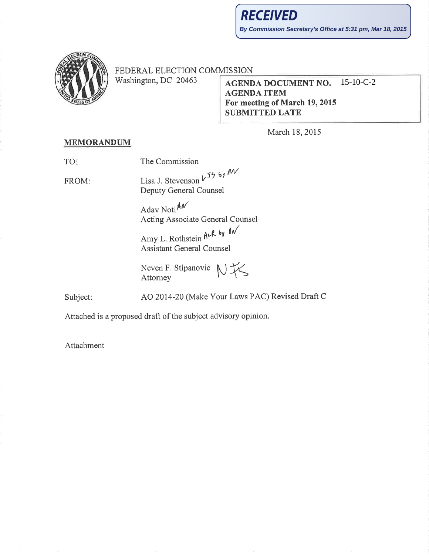

FEDERAL ELECTION COMMISSION

Washington, DC 20463

## $15-10-C-2$ **AGENDA DOCUMENT NO. AGENDA ITEM** For meeting of March 19, 2015 **SUBMITTED LATE**

March 18, 2015

## **MEMORANDUM**

TO:

FROM:

The Commission

Lisa J. Stevenson  $V^{55}$  by  $\theta V$ Deputy General Counsel

> Adav Noti AN Acting Associate General Counsel

Amy L. Rothstein ALR by AN **Assistant General Counsel** 

NK Neven F. Stipanovic Attorney

Subject:

AO 2014-20 (Make Your Laws PAC) Revised Draft C

Attached is a proposed draft of the subject advisory opinion.

Attachment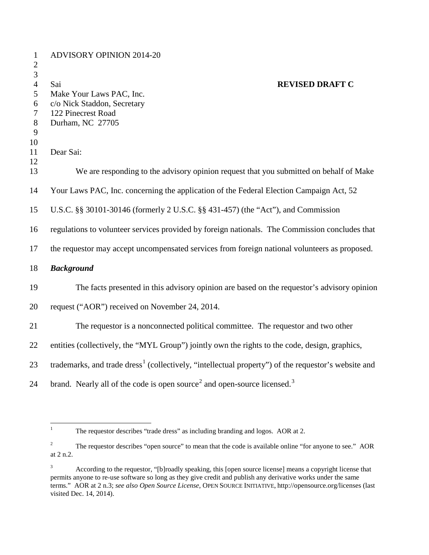| $\mathbf{1}$<br>$\overline{2}$                                    | <b>ADVISORY OPINION 2014-20</b>                                                                                                    |
|-------------------------------------------------------------------|------------------------------------------------------------------------------------------------------------------------------------|
| 3<br>$\overline{4}$<br>5<br>6<br>$\overline{7}$<br>$8\phantom{1}$ | <b>REVISED DRAFT C</b><br>Sai<br>Make Your Laws PAC, Inc.<br>c/o Nick Staddon, Secretary<br>122 Pinecrest Road<br>Durham, NC 27705 |
| 9<br>10                                                           |                                                                                                                                    |
| 11<br>12                                                          | Dear Sai:                                                                                                                          |
| 13                                                                | We are responding to the advisory opinion request that you submitted on behalf of Make                                             |
| 14                                                                | Your Laws PAC, Inc. concerning the application of the Federal Election Campaign Act, 52                                            |
| 15                                                                | U.S.C. §§ 30101-30146 (formerly 2 U.S.C. §§ 431-457) (the "Act"), and Commission                                                   |
| 16                                                                | regulations to volunteer services provided by foreign nationals. The Commission concludes that                                     |
| 17                                                                | the requestor may accept uncompensated services from foreign national volunteers as proposed.                                      |
| 18                                                                | <b>Background</b>                                                                                                                  |
| 19                                                                | The facts presented in this advisory opinion are based on the requestor's advisory opinion                                         |
| 20                                                                | request ("AOR") received on November 24, 2014.                                                                                     |
| 21                                                                | The requestor is a nonconnected political committee. The requestor and two other                                                   |
| 22                                                                | entities (collectively, the "MYL Group") jointly own the rights to the code, design, graphics,                                     |
| 23                                                                | trademarks, and trade dress <sup>1</sup> (collectively, "intellectual property") of the requestor's website and                    |
| 24                                                                | brand. Nearly all of the code is open source <sup>2</sup> and open-source licensed. <sup>3</sup>                                   |

<span id="page-1-0"></span><sup>&</sup>lt;sup>1</sup> The requestor describes "trade dress" as including branding and logos. AOR at 2.

<span id="page-1-1"></span><sup>&</sup>lt;sup>2</sup> The requestor describes "open source" to mean that the code is available online "for anyone to see." AOR at 2 n.2.

<span id="page-1-2"></span> According to the requestor, "[b]roadly speaking, this [open source license] means a copyright license that permits anyone to re-use software so long as they give credit and publish any derivative works under the same terms." AOR at 2 n.3; *see also Open Source License*, OPEN SOURCE INITIATIVE, http://opensource.org/licenses (last visited Dec. 14, 2014).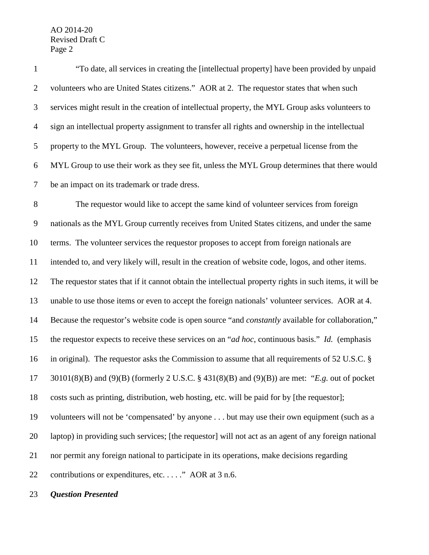"To date, all services in creating the [intellectual property] have been provided by unpaid volunteers who are United States citizens." AOR at 2. The requestor states that when such services might result in the creation of intellectual property, the MYL Group asks volunteers to sign an intellectual property assignment to transfer all rights and ownership in the intellectual property to the MYL Group. The volunteers, however, receive a perpetual license from the MYL Group to use their work as they see fit, unless the MYL Group determines that there would be an impact on its trademark or trade dress. The requestor would like to accept the same kind of volunteer services from foreign nationals as the MYL Group currently receives from United States citizens, and under the same terms. The volunteer services the requestor proposes to accept from foreign nationals are intended to, and very likely will, result in the creation of website code, logos, and other items. The requestor states that if it cannot obtain the intellectual property rights in such items, it will be unable to use those items or even to accept the foreign nationals' volunteer services. AOR at 4. Because the requestor's website code is open source "and *constantly* available for collaboration," the requestor expects to receive these services on an "*ad hoc*, continuous basis." *Id.* (emphasis in original). The requestor asks the Commission to assume that all requirements of 52 U.S.C. § 30101(8)(B) and (9)(B) (formerly 2 U.S.C. § 431(8)(B) and (9)(B)) are met: "*E.g.* out of pocket costs such as printing, distribution, web hosting, etc. will be paid for by [the requestor]; volunteers will not be 'compensated' by anyone . . . but may use their own equipment (such as a laptop) in providing such services; [the requestor] will not act as an agent of any foreign national nor permit any foreign national to participate in its operations, make decisions regarding 22 contributions or expenditures, etc. . . . . " AOR at 3 n.6.

*Question Presented*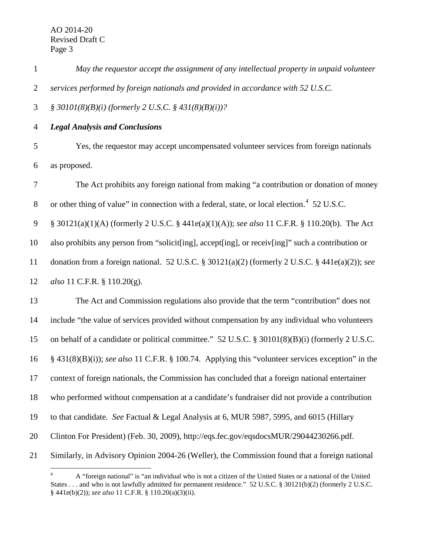| May the requestor accept the assignment of any intellectual property in unpaid volunteer |
|------------------------------------------------------------------------------------------|
| services performed by foreign nationals and provided in accordance with 52 U.S.C.        |

*§ 30101(8)(B)(i) (formerly 2 U.S.C. § 431(8)(B)(i))?* 

*Legal Analysis and Conclusions*

 Yes, the requestor may accept uncompensated volunteer services from foreign nationals as proposed.

 The Act prohibits any foreign national from making "a contribution or donation of money 8 or other thing of value" in connection with a federal, state, or local election.<sup>[4](#page-3-0)</sup> 52 U.S.C. § 30121(a)(1)(A) (formerly 2 U.S.C. § 441e(a)(1)(A)); *see also* 11 C.F.R. § 110.20(b). The Act also prohibits any person from "solicit[ing], accept[ing], or receiv[ing]" such a contribution or donation from a foreign national. 52 U.S.C. § 30121(a)(2) (formerly 2 U.S.C. § 441e(a)(2)); *see also* 11 C.F.R. § 110.20(g). The Act and Commission regulations also provide that the term "contribution" does not include "the value of services provided without compensation by any individual who volunteers on behalf of a candidate or political committee." 52 U.S.C. § 30101(8)(B)(i) (formerly 2 U.S.C. § 431(8)(B)(i)); *see also* 11 C.F.R. § 100.74. Applying this "volunteer services exception" in the context of foreign nationals, the Commission has concluded that a foreign national entertainer who performed without compensation at a candidate's fundraiser did not provide a contribution to that candidate. *See* Factual & Legal Analysis at 6, MUR 5987, 5995, and 6015 (Hillary Clinton For President) (Feb. 30, 2009), http://eqs.fec.gov/eqsdocsMUR/29044230266.pdf. Similarly, in Advisory Opinion 2004-26 (Weller), the Commission found that a foreign national

<span id="page-3-0"></span> A "foreign national" is "an individual who is not a citizen of the United States or a national of the United States . . . and who is not lawfully admitted for permanent residence." 52 U.S.C. § 30121(b)(2) (formerly 2 U.S.C. § 441e(b)(2)); *see also* 11 C.F.R. § 110.20(a)(3)(ii).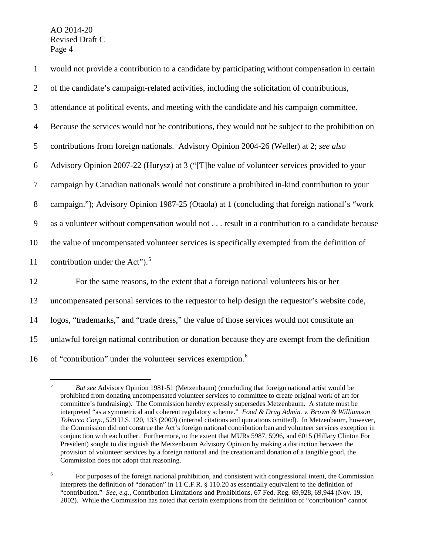| $\mathbf{1}$   | would not provide a contribution to a candidate by participating without compensation in certain |
|----------------|--------------------------------------------------------------------------------------------------|
| $\overline{2}$ | of the candidate's campaign-related activities, including the solicitation of contributions,     |
| 3              | attendance at political events, and meeting with the candidate and his campaign committee.       |
| $\overline{4}$ | Because the services would not be contributions, they would not be subject to the prohibition on |
| 5              | contributions from foreign nationals. Advisory Opinion 2004-26 (Weller) at 2; see also           |
| 6              | Advisory Opinion 2007-22 (Hurysz) at 3 ("[T]he value of volunteer services provided to your      |
| 7              | campaign by Canadian nationals would not constitute a prohibited in-kind contribution to your    |
| $8\phantom{1}$ | campaign."); Advisory Opinion 1987-25 (Otaola) at 1 (concluding that foreign national's "work    |
| 9              | as a volunteer without compensation would not result in a contribution to a candidate because    |
| 10             | the value of uncompensated volunteer services is specifically exempted from the definition of    |
| 11             | contribution under the Act"). <sup>5</sup>                                                       |
| 12             | For the same reasons, to the extent that a foreign national volunteers his or her                |
| 13             | uncompensated personal services to the requestor to help design the requestor's website code,    |
| 14             | logos, "trademarks," and "trade dress," the value of those services would not constitute an      |
| 15             | unlawful foreign national contribution or donation because they are exempt from the definition   |
| 16             | of "contribution" under the volunteer services exemption. <sup>6</sup>                           |

<span id="page-4-0"></span> <sup>5</sup> *But see* Advisory Opinion 1981-51 (Metzenbaum) (concluding that foreign national artist would be prohibited from donating uncompensated volunteer services to committee to create original work of art for committee's fundraising). The Commission hereby expressly supersedes Metzenbaum. A statute must be interpreted "as a symmetrical and coherent regulatory scheme." *Food & Drug Admin. v. Brown & Williamson Tobacco Corp.*, 529 U.S. 120, 133 (2000) (internal citations and quotations omitted). In Metzenbaum, however, the Commission did not construe the Act's foreign national contribution ban and volunteer services exception in conjunction with each other. Furthermore, to the extent that MURs 5987, 5996, and 6015 (Hillary Clinton For President) sought to distinguish the Metzenbaum Advisory Opinion by making a distinction between the provision of volunteer services by a foreign national and the creation and donation of a tangible good, the Commission does not adopt that reasoning.

<span id="page-4-1"></span><sup>&</sup>lt;sup>6</sup> For purposes of the foreign national prohibition, and consistent with congressional intent, the Commission interprets the definition of "donation" in 11 C.F.R. § 110.20 as essentially equivalent to the definition of "contribution." *See, e.g.*, Contribution Limitations and Prohibitions, 67 Fed. Reg. 69,928, 69,944 (Nov. 19, 2002). While the Commission has noted that certain exemptions from the definition of "contribution" cannot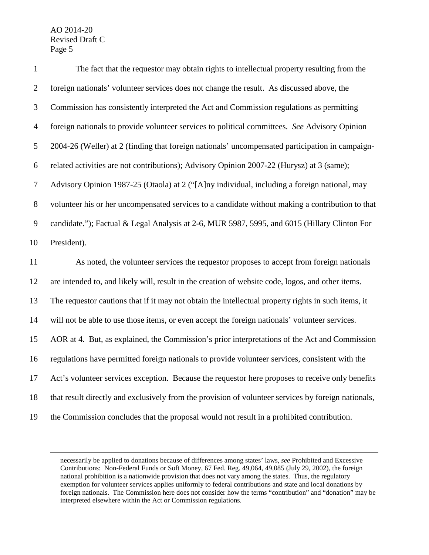$\overline{a}$ 

| $\mathbf{1}$   | The fact that the requestor may obtain rights to intellectual property resulting from the           |
|----------------|-----------------------------------------------------------------------------------------------------|
| $\overline{2}$ | foreign nationals' volunteer services does not change the result. As discussed above, the           |
| 3              | Commission has consistently interpreted the Act and Commission regulations as permitting            |
| $\overline{4}$ | foreign nationals to provide volunteer services to political committees. See Advisory Opinion       |
| $\mathfrak{S}$ | 2004-26 (Weller) at 2 (finding that foreign nationals' uncompensated participation in campaign-     |
| 6              | related activities are not contributions); Advisory Opinion 2007-22 (Hurysz) at 3 (same);           |
| $\tau$         | Advisory Opinion 1987-25 (Otaola) at 2 ("[A]ny individual, including a foreign national, may        |
| 8              | volunteer his or her uncompensated services to a candidate without making a contribution to that    |
| 9              | candidate."); Factual & Legal Analysis at 2-6, MUR 5987, 5995, and 6015 (Hillary Clinton For        |
| 10             | President).                                                                                         |
| 11             | As noted, the volunteer services the requestor proposes to accept from foreign nationals            |
| 12             | are intended to, and likely will, result in the creation of website code, logos, and other items.   |
| 13             | The requestor cautions that if it may not obtain the intellectual property rights in such items, it |
| 14             | will not be able to use those items, or even accept the foreign nationals' volunteer services.      |
| 15             | AOR at 4. But, as explained, the Commission's prior interpretations of the Act and Commission       |
| 16             | regulations have permitted foreign nationals to provide volunteer services, consistent with the     |
| 17             | Act's volunteer services exception. Because the requestor here proposes to receive only benefits    |
| 18             | that result directly and exclusively from the provision of volunteer services by foreign nationals, |
| 19             | the Commission concludes that the proposal would not result in a prohibited contribution.           |

necessarily be applied to donations because of differences among states' laws, *see* Prohibited and Excessive Contributions: Non-Federal Funds or Soft Money, 67 Fed. Reg. 49,064, 49,085 (July 29, 2002), the foreign national prohibition is a nationwide provision that does not vary among the states. Thus, the regulatory exemption for volunteer services applies uniformly to federal contributions and state and local donations by foreign nationals. The Commission here does not consider how the terms "contribution" and "donation" may be interpreted elsewhere within the Act or Commission regulations.